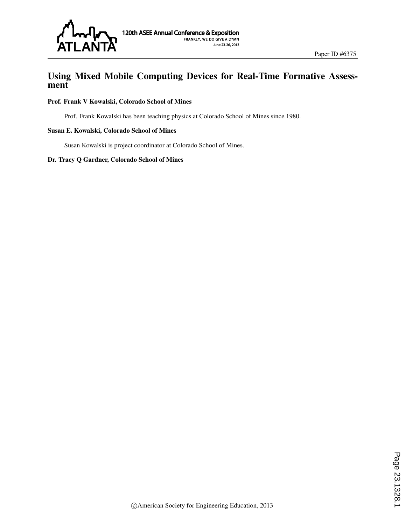

# Using Mixed Mobile Computing Devices for Real-Time Formative Assessment

#### Prof. Frank V Kowalski, Colorado School of Mines

Prof. Frank Kowalski has been teaching physics at Colorado School of Mines since 1980.

#### Susan E. Kowalski, Colorado School of Mines

Susan Kowalski is project coordinator at Colorado School of Mines.

#### Dr. Tracy Q Gardner, Colorado School of Mines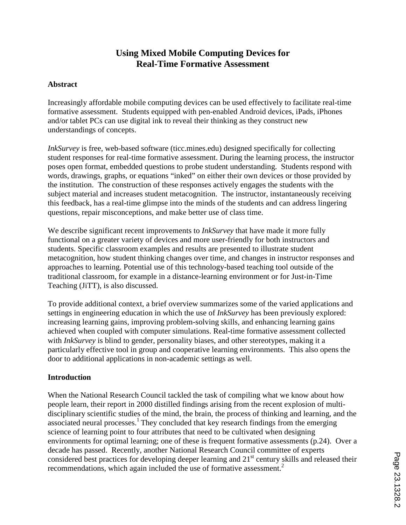# **Using Mixed Mobile Computing Devices for Real-Time Formative Assessment**

### **Abstract**

Increasingly affordable mobile computing devices can be used effectively to facilitate real-time formative assessment. Students equipped with pen-enabled Android devices, iPads, iPhones and/or tablet PCs can use digital ink to reveal their thinking as they construct new understandings of concepts.

*InkSurvey* is free, web-based software (ticc.mines.edu) designed specifically for collecting student responses for real-time formative assessment. During the learning process, the instructor poses open format, embedded questions to probe student understanding. Students respond with words, drawings, graphs, or equations "inked" on either their own devices or those provided by the institution. The construction of these responses actively engages the students with the subject material and increases student metacognition. The instructor, instantaneously receiving this feedback, has a real-time glimpse into the minds of the students and can address lingering questions, repair misconceptions, and make better use of class time.

We describe significant recent improvements to *InkSurvey* that have made it more fully functional on a greater variety of devices and more user-friendly for both instructors and students. Specific classroom examples and results are presented to illustrate student metacognition, how student thinking changes over time, and changes in instructor responses and approaches to learning. Potential use of this technology-based teaching tool outside of the traditional classroom, for example in a distance-learning environment or for Just-in-Time Teaching (JiTT), is also discussed.

To provide additional context, a brief overview summarizes some of the varied applications and settings in engineering education in which the use of *InkSurvey* has been previously explored: increasing learning gains, improving problem-solving skills, and enhancing learning gains achieved when coupled with computer simulations. Real-time formative assessment collected with *InkSurvey* is blind to gender, personality biases, and other stereotypes, making it a particularly effective tool in group and cooperative learning environments. This also opens the door to additional applications in non-academic settings as well.

#### **Introduction**

When the National Research Council tackled the task of compiling what we know about how people learn, their report in 2000 distilled findings arising from the recent explosion of multidisciplinary scientific studies of the mind, the brain, the process of thinking and learning, and the associated neural processes.<sup>1</sup> They concluded that key research findings from the emerging science of learning point to four attributes that need to be cultivated when designing environments for optimal learning; one of these is frequent formative assessments (p.24). Over a decade has passed. Recently, another National Research Council committee of experts considered best practices for developing deeper learning and 21<sup>st</sup> century skills and released their recommendations, which again included the use of formative assessment.<sup>2</sup>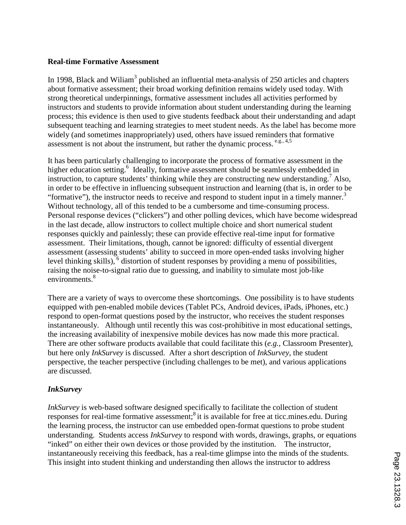#### **Real-time Formative Assessment**

In 1998, Black and Wiliam<sup>3</sup> published an influential meta-analysis of 250 articles and chapters about formative assessment; their broad working definition remains widely used today. With strong theoretical underpinnings, formative assessment includes all activities performed by instructors and students to provide information about student understanding during the learning process; this evidence is then used to give students feedback about their understanding and adapt subsequent teaching and learning strategies to meet student needs. As the label has become more widely (and sometimes inappropriately) used, others have issued reminders that formative assessment is not about the instrument, but rather the dynamic process.  $e.g., 4,5$ 

It has been particularly challenging to incorporate the process of formative assessment in the higher education setting.<sup>6</sup> Ideally, formative assessment should be seamlessly embedded in instruction, to capture students' thinking while they are constructing new understanding.<sup>7</sup> Also, in order to be effective in influencing subsequent instruction and learning (that is, in order to be "formative"), the instructor needs to receive and respond to student input in a timely manner. $3$ Without technology, all of this tended to be a cumbersome and time-consuming process. Personal response devices ("clickers") and other polling devices, which have become widespread in the last decade, allow instructors to collect multiple choice and short numerical student responses quickly and painlessly; these can provide effective real-time input for formative assessment. Their limitations, though, cannot be ignored: difficulty of essential divergent assessment (assessing students' ability to succeed in more open-ended tasks involving higher level thinking skills), $6$  distortion of student responses by providing a menu of possibilities, raising the noise-to-signal ratio due to guessing, and inability to simulate most job-like environments.<sup>8</sup>

There are a variety of ways to overcome these shortcomings. One possibility is to have students equipped with pen-enabled mobile devices (Tablet PCs, Android devices, iPads, iPhones, etc.) respond to open-format questions posed by the instructor, who receives the student responses instantaneously. Although until recently this was cost-prohibitive in most educational settings, the increasing availability of inexpensive mobile devices has now made this more practical. There are other software products available that could facilitate this (*e.g.,* Classroom Presenter), but here only *InkSurvey* is discussed. After a short description of *InkSurvey*, the student perspective, the teacher perspective (including challenges to be met), and various applications are discussed.

# *InkSurvey*

*InkSurvey* is web-based software designed specifically to facilitate the collection of student responses for real-time formative assessment;<sup>8</sup> it is available for free at ticc.mines.edu. During the learning process, the instructor can use embedded open-format questions to probe student understanding. Students access *InkSurvey* to respond with words, drawings, graphs, or equations "inked" on either their own devices or those provided by the institution. The instructor, instantaneously receiving this feedback, has a real-time glimpse into the minds of the students. This insight into student thinking and understanding then allows the instructor to address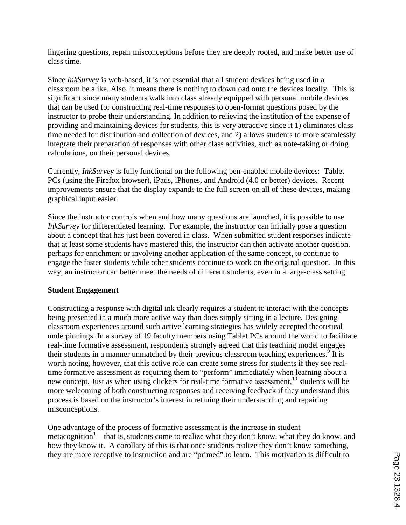lingering questions, repair misconceptions before they are deeply rooted, and make better use of class time.

Since *InkSurvey* is web-based, it is not essential that all student devices being used in a classroom be alike. Also, it means there is nothing to download onto the devices locally. This is significant since many students walk into class already equipped with personal mobile devices that can be used for constructing real-time responses to open-format questions posed by the instructor to probe their understanding. In addition to relieving the institution of the expense of providing and maintaining devices for students, this is very attractive since it 1) eliminates class time needed for distribution and collection of devices, and 2) allows students to more seamlessly integrate their preparation of responses with other class activities, such as note-taking or doing calculations, on their personal devices.

Currently, *InkSurvey* is fully functional on the following pen-enabled mobile devices: Tablet PCs (using the Firefox browser), iPads, iPhones, and Android (4.0 or better) devices. Recent improvements ensure that the display expands to the full screen on all of these devices, making graphical input easier.

Since the instructor controls when and how many questions are launched, it is possible to use *InkSurvey* for differentiated learning. For example, the instructor can initially pose a question about a concept that has just been covered in class. When submitted student responses indicate that at least some students have mastered this, the instructor can then activate another question, perhaps for enrichment or involving another application of the same concept, to continue to engage the faster students while other students continue to work on the original question. In this way, an instructor can better meet the needs of different students, even in a large-class setting.

# **Student Engagement**

Constructing a response with digital ink clearly requires a student to interact with the concepts being presented in a much more active way than does simply sitting in a lecture. Designing classroom experiences around such active learning strategies has widely accepted theoretical underpinnings. In a survey of 19 faculty members using Tablet PCs around the world to facilitate real-time formative assessment, respondents strongly agreed that this teaching model engages their students in a manner unmatched by their previous classroom teaching experiences.<sup>9</sup> It is worth noting, however, that this active role can create some stress for students if they see realtime formative assessment as requiring them to "perform" immediately when learning about a new concept. Just as when using clickers for real-time formative assessment,<sup>10</sup> students will be more welcoming of both constructing responses and receiving feedback if they understand this process is based on the instructor's interest in refining their understanding and repairing misconceptions.

One advantage of the process of formative assessment is the increase in student metacognition<sup>1</sup>—that is, students come to realize what they don't know, what they do know, and how they know it. A corollary of this is that once students realize they don't know something, they are more receptive to instruction and are "primed" to learn. This motivation is difficult to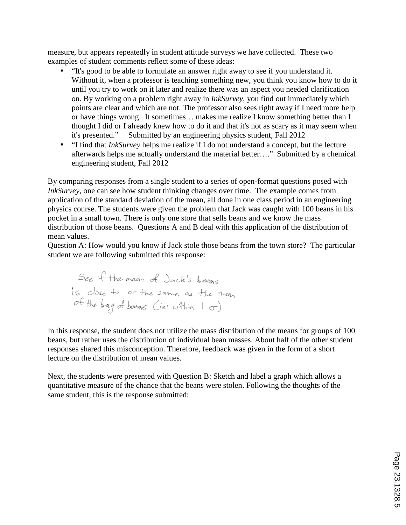measure, but appears repeatedly in student attitude surveys we have collected. These two examples of student comments reflect some of these ideas:

- "It's good to be able to formulate an answer right away to see if you understand it. Without it, when a professor is teaching something new, you think you know how to do it until you try to work on it later and realize there was an aspect you needed clarification on. By working on a problem right away in *InkSurvey*, you find out immediately which points are clear and which are not. The professor also sees right away if I need more help or have things wrong. It sometimes… makes me realize I know something better than I thought I did or I already knew how to do it and that it's not as scary as it may seem when it's presented." Submitted by an engineering physics student, Fall 2012
- "I find that *InkSurvey* helps me realize if I do not understand a concept, but the lecture afterwards helps me actually understand the material better…." Submitted by a chemical engineering student, Fall 2012

By comparing responses from a single student to a series of open-format questions posed with *InkSurvey*, one can see how student thinking changes over time. The example comes from application of the standard deviation of the mean, all done in one class period in an engineering physics course. The students were given the problem that Jack was caught with 100 beans in his pocket in a small town. There is only one store that sells beans and we know the mass distribution of those beans. Questions A and B deal with this application of the distribution of mean values.

Question A: How would you know if Jack stole those beans from the town store? The particular student we are following submitted this response:

In this response, the student does not utilize the mass distribution of the means for groups of 100 beans, but rather uses the distribution of individual bean masses. About half of the other student responses shared this misconception. Therefore, feedback was given in the form of a short lecture on the distribution of mean values.

Next, the students were presented with Question B: Sketch and label a graph which allows a quantitative measure of the chance that the beans were stolen. Following the thoughts of the same student, this is the response submitted: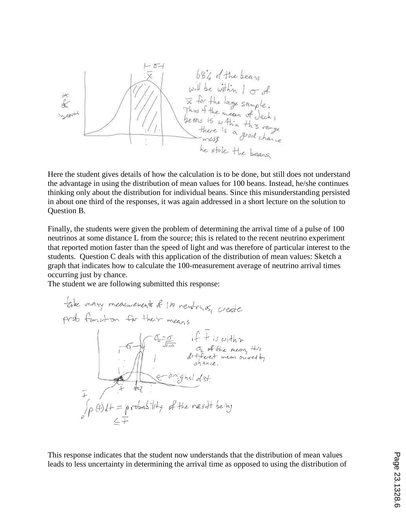

Here the student gives details of how the calculation is to be done, but still does not understand the advantage in using the distribution of mean values for 100 beans. Instead, he/she continues thinking only about the distribution for individual beans. Since this misunderstanding persisted in about one third of the responses, it was again addressed in a short lecture on the solution to Question B.

Finally, the students were given the problem of determining the arrival time of a pulse of 100 neutrinos at some distance L from the source; this is related to the recent neutrino experiment that reported motion faster than the speed of light and was therefore of particular interest to the students. Question C deals with this application of the distribution of mean values: Sketch a graph that indicates how to calculate the 100-measurement average of neutrino arrival times occurring just by chance.

The student we are following submitted this response:

This response indicates that the student now understands that the distribution of mean values leads to less uncertainty in determining the arrival time as opposed to using the distribution of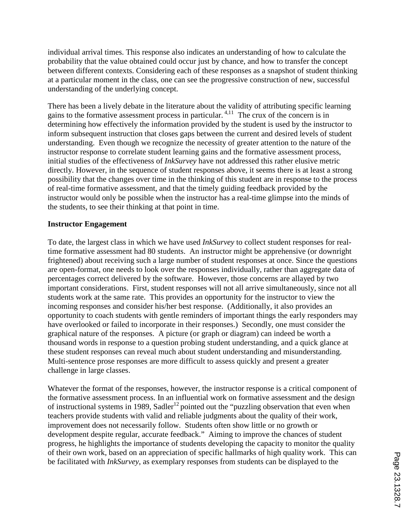individual arrival times. This response also indicates an understanding of how to calculate the probability that the value obtained could occur just by chance, and how to transfer the concept between different contexts. Considering each of these responses as a snapshot of student thinking at a particular moment in the class, one can see the progressive construction of new, successful understanding of the underlying concept.

There has been a lively debate in the literature about the validity of attributing specific learning gains to the formative assessment process in particular.  $4,11$  The crux of the concern is in determining how effectively the information provided by the student is used by the instructor to inform subsequent instruction that closes gaps between the current and desired levels of student understanding. Even though we recognize the necessity of greater attention to the nature of the instructor response to correlate student learning gains and the formative assessment process, initial studies of the effectiveness of *InkSurvey* have not addressed this rather elusive metric directly. However, in the sequence of student responses above, it seems there is at least a strong possibility that the changes over time in the thinking of this student are in response to the process of real-time formative assessment, and that the timely guiding feedback provided by the instructor would only be possible when the instructor has a real-time glimpse into the minds of the students, to see their thinking at that point in time.

### **Instructor Engagement**

To date, the largest class in which we have used *InkSurvey* to collect student responses for realtime formative assessment had 80 students. An instructor might be apprehensive (or downright frightened) about receiving such a large number of student responses at once. Since the questions are open-format, one needs to look over the responses individually, rather than aggregate data of percentages correct delivered by the software. However, those concerns are allayed by two important considerations. First, student responses will not all arrive simultaneously, since not all students work at the same rate. This provides an opportunity for the instructor to view the incoming responses and consider his/her best response. (Additionally, it also provides an opportunity to coach students with gentle reminders of important things the early responders may have overlooked or failed to incorporate in their responses.) Secondly, one must consider the graphical nature of the responses. A picture (or graph or diagram) can indeed be worth a thousand words in response to a question probing student understanding, and a quick glance at these student responses can reveal much about student understanding and misunderstanding. Multi-sentence prose responses are more difficult to assess quickly and present a greater challenge in large classes.

Whatever the format of the responses, however, the instructor response is a critical component of the formative assessment process. In an influential work on formative assessment and the design of instructional systems in 1989, Sadler<sup>12</sup> pointed out the "puzzling observation that even when teachers provide students with valid and reliable judgments about the quality of their work, improvement does not necessarily follow. Students often show little or no growth or development despite regular, accurate feedback." Aiming to improve the chances of student progress, he highlights the importance of students developing the capacity to monitor the quality of their own work, based on an appreciation of specific hallmarks of high quality work. This can be facilitated with *InkSurvey*, as exemplary responses from students can be displayed to the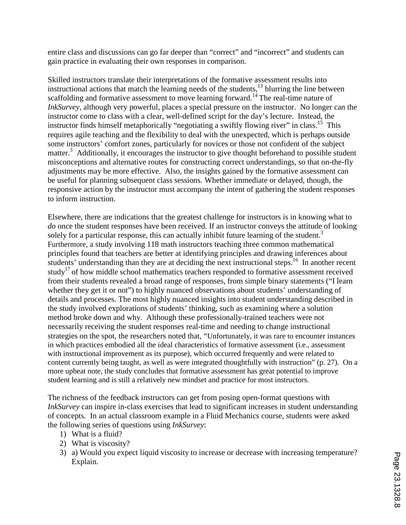entire class and discussions can go far deeper than "correct" and "incorrect" and students can gain practice in evaluating their own responses in comparison.

Skilled instructors translate their interpretations of the formative assessment results into instructional actions that match the learning needs of the students, $^{13}$  blurring the line between scaffolding and formative assessment to move learning forward.<sup>14</sup> The real-time nature of *InkSurvey*, although very powerful, places a special pressure on the instructor. No longer can the instructor come to class with a clear, well-defined script for the day's lecture. Instead, the instructor finds himself metaphorically "negotiating a swiftly flowing river" in class.<sup>15</sup> This requires agile teaching and the flexibility to deal with the unexpected, which is perhaps outside some instructors' comfort zones, particularly for novices or those not confident of the subject matter.<sup>3</sup> Additionally, it encourages the instructor to give thought beforehand to possible student misconceptions and alternative routes for constructing correct understandings, so that on-the-fly adjustments may be more effective. Also, the insights gained by the formative assessment can be useful for planning subsequent class sessions. Whether immediate or delayed, though, the responsive action by the instructor must accompany the intent of gathering the student responses to inform instruction.

Elsewhere, there are indications that the greatest challenge for instructors is in knowing what to *do* once the student responses have been received. If an instructor conveys the attitude of looking solely for a particular response, this can actually inhibit future learning of the student.<sup>3</sup> Furthermore, a study involving 118 math instructors teaching three common mathematical principles found that teachers are better at identifying principles and drawing inferences about students' understanding than they are at deciding the next instructional steps.<sup>16</sup> In another recent study<sup>17</sup> of how middle school mathematics teachers responded to formative assessment received from their students revealed a broad range of responses, from simple binary statements ("I learn whether they get it or not") to highly nuanced observations about students' understanding of details and processes. The most highly nuanced insights into student understanding described in the study involved explorations of students' thinking, such as examining where a solution method broke down and why. Although these professionally-trained teachers were not necessarily receiving the student responses real-time and needing to change instructional strategies on the spot, the researchers noted that, "Unfortunately, it was rare to encounter instances in which practices embodied all the ideal characteristics of formative assessment (i.e., assessment with instructional improvement as its purpose), which occurred frequently and were related to content currently being taught, as well as were integrated thoughtfully with instruction" (p. 27). On a more upbeat note, the study concludes that formative assessment has great potential to improve student learning and is still a relatively new mindset and practice for most instructors.

The richness of the feedback instructors can get from posing open-format questions with *InkSurvey* can inspire in-class exercises that lead to significant increases in student understanding of concepts. In an actual classroom example in a Fluid Mechanics course, students were asked the following series of questions using *InkSurvey*:

- 1) What is a fluid?
- 2) What is viscosity?
- 3) a) Would you expect liquid viscosity to increase or decrease with increasing temperature? Explain.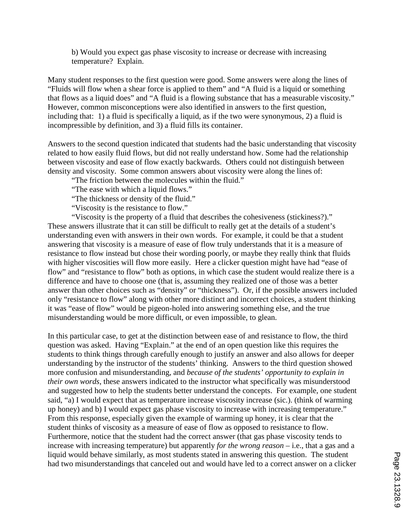b) Would you expect gas phase viscosity to increase or decrease with increasing temperature? Explain.

Many student responses to the first question were good. Some answers were along the lines of "Fluids will flow when a shear force is applied to them" and "A fluid is a liquid or something that flows as a liquid does" and "A fluid is a flowing substance that has a measurable viscosity." However, common misconceptions were also identified in answers to the first question, including that: 1) a fluid is specifically a liquid, as if the two were synonymous, 2) a fluid is incompressible by definition, and 3) a fluid fills its container.

Answers to the second question indicated that students had the basic understanding that viscosity related to how easily fluid flows, but did not really understand how. Some had the relationship between viscosity and ease of flow exactly backwards. Others could not distinguish between density and viscosity. Some common answers about viscosity were along the lines of:

"The friction between the molecules within the fluid."

"The ease with which a liquid flows."

"The thickness or density of the fluid."

"Viscosity is the resistance to flow."

"Viscosity is the property of a fluid that describes the cohesiveness (stickiness?)." These answers illustrate that it can still be difficult to really get at the details of a student's understanding even with answers in their own words. For example, it could be that a student answering that viscosity is a measure of ease of flow truly understands that it is a measure of resistance to flow instead but chose their wording poorly, or maybe they really think that fluids with higher viscosities will flow more easily. Here a clicker question might have had "ease of flow" and "resistance to flow" both as options, in which case the student would realize there is a difference and have to choose one (that is, assuming they realized one of those was a better answer than other choices such as "density" or "thickness"). Or, if the possible answers included only "resistance to flow" along with other more distinct and incorrect choices, a student thinking it was "ease of flow" would be pigeon-holed into answering something else, and the true misunderstanding would be more difficult, or even impossible, to glean.

In this particular case, to get at the distinction between ease of and resistance to flow, the third question was asked. Having "Explain." at the end of an open question like this requires the students to think things through carefully enough to justify an answer and also allows for deeper understanding by the instructor of the students' thinking. Answers to the third question showed more confusion and misunderstanding, and *because of the students' opportunity to explain in their own words*, these answers indicated to the instructor what specifically was misunderstood and suggested how to help the students better understand the concepts. For example, one student said, "a) I would expect that as temperature increase viscosity increase (sic.). (think of warming up honey) and b) I would expect gas phase viscosity to increase with increasing temperature." From this response, especially given the example of warming up honey, it is clear that the student thinks of viscosity as a measure of ease of flow as opposed to resistance to flow. Furthermore, notice that the student had the correct answer (that gas phase viscosity tends to increase with increasing temperature) but apparently *for the wrong reason* – i.e., that a gas and a liquid would behave similarly, as most students stated in answering this question. The student had two misunderstandings that canceled out and would have led to a correct answer on a clicker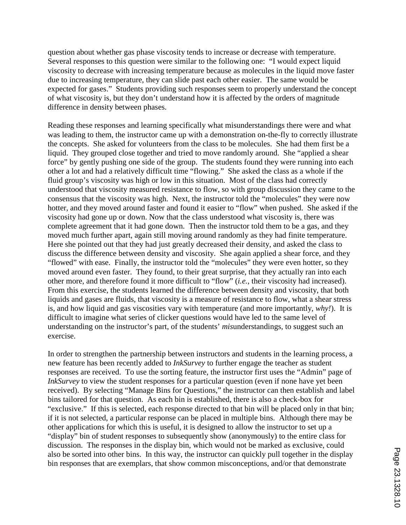question about whether gas phase viscosity tends to increase or decrease with temperature. Several responses to this question were similar to the following one: "I would expect liquid viscosity to decrease with increasing temperature because as molecules in the liquid move faster due to increasing temperature, they can slide past each other easier. The same would be expected for gases." Students providing such responses seem to properly understand the concept of what viscosity is, but they don't understand how it is affected by the orders of magnitude difference in density between phases.

Reading these responses and learning specifically what misunderstandings there were and what was leading to them, the instructor came up with a demonstration on-the-fly to correctly illustrate the concepts. She asked for volunteers from the class to be molecules. She had them first be a liquid. They grouped close together and tried to move randomly around. She "applied a shear force" by gently pushing one side of the group. The students found they were running into each other a lot and had a relatively difficult time "flowing." She asked the class as a whole if the fluid group's viscosity was high or low in this situation. Most of the class had correctly understood that viscosity measured resistance to flow, so with group discussion they came to the consensus that the viscosity was high. Next, the instructor told the "molecules" they were now hotter, and they moved around faster and found it easier to "flow" when pushed. She asked if the viscosity had gone up or down. Now that the class understood what viscosity is, there was complete agreement that it had gone down. Then the instructor told them to be a gas, and they moved much further apart, again still moving around randomly as they had finite temperature. Here she pointed out that they had just greatly decreased their density, and asked the class to discuss the difference between density and viscosity. She again applied a shear force, and they "flowed" with ease. Finally, the instructor told the "molecules" they were even hotter, so they moved around even faster. They found, to their great surprise, that they actually ran into each other more, and therefore found it more difficult to "flow" (*i.e.*, their viscosity had increased). From this exercise, the students learned the difference between density and viscosity, that both liquids and gases are fluids, that viscosity is a measure of resistance to flow, what a shear stress is, and how liquid and gas viscosities vary with temperature (and more importantly, *why!*). It is difficult to imagine what series of clicker questions would have led to the same level of understanding on the instructor's part, of the students' *mis*understandings, to suggest such an exercise.

In order to strengthen the partnership between instructors and students in the learning process, a new feature has been recently added to *InkSurvey* to further engage the teacher as student responses are received. To use the sorting feature, the instructor first uses the "Admin" page of *InkSurvey* to view the student responses for a particular question (even if none have yet been received). By selecting "Manage Bins for Questions," the instructor can then establish and label bins tailored for that question. As each bin is established, there is also a check-box for "exclusive." If this is selected, each response directed to that bin will be placed only in that bin; if it is not selected, a particular response can be placed in multiple bins. Although there may be other applications for which this is useful, it is designed to allow the instructor to set up a "display" bin of student responses to subsequently show (anonymously) to the entire class for discussion. The responses in the display bin, which would not be marked as exclusive, could also be sorted into other bins. In this way, the instructor can quickly pull together in the display bin responses that are exemplars, that show common misconceptions, and/or that demonstrate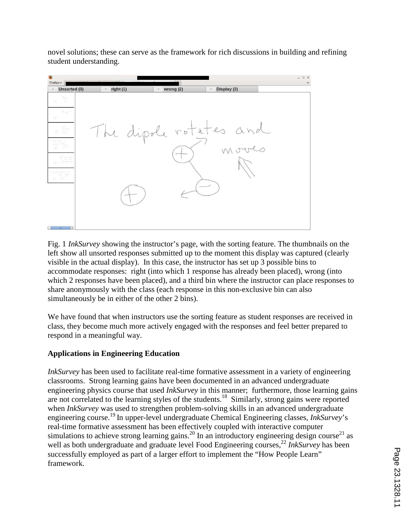novel solutions; these can serve as the framework for rich discussions in building and refining student understanding.



Fig. 1 *InkSurvey* showing the instructor's page, with the sorting feature. The thumbnails on the left show all unsorted responses submitted up to the moment this display was captured (clearly visible in the actual display). In this case, the instructor has set up 3 possible bins to accommodate responses: right (into which 1 response has already been placed), wrong (into which 2 responses have been placed), and a third bin where the instructor can place responses to share anonymously with the class (each response in this non-exclusive bin can also simultaneously be in either of the other 2 bins).

We have found that when instructors use the sorting feature as student responses are received in class, they become much more actively engaged with the responses and feel better prepared to respond in a meaningful way.

# **Applications in Engineering Education**

*InkSurvey* has been used to facilitate real-time formative assessment in a variety of engineering classrooms. Strong learning gains have been documented in an advanced undergraduate engineering physics course that used *InkSurvey* in this manner; furthermore, those learning gains are not correlated to the learning styles of the students.<sup>18</sup> Similarly, strong gains were reported when *InkSurvey* was used to strengthen problem-solving skills in an advanced undergraduate engineering course.<sup>19</sup> In upper-level undergraduate Chemical Engineering classes, *InkSurvey*'s real-time formative assessment has been effectively coupled with interactive computer simulations to achieve strong learning gains.<sup>20</sup> In an introductory engineering design course<sup>21</sup> as well as both undergraduate and graduate level Food Engineering courses,<sup>22</sup> *InkSurvey* has been successfully employed as part of a larger effort to implement the "How People Learn" framework.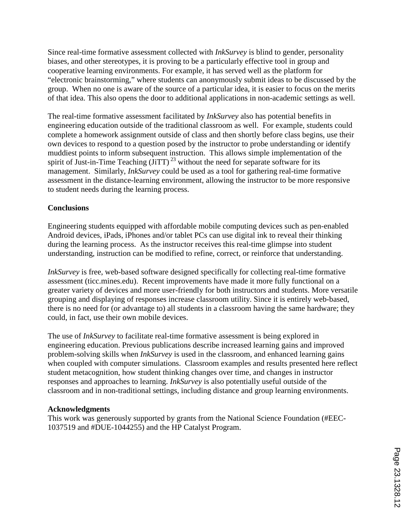Since real-time formative assessment collected with *InkSurvey* is blind to gender, personality biases, and other stereotypes, it is proving to be a particularly effective tool in group and cooperative learning environments. For example, it has served well as the platform for "electronic brainstorming," where students can anonymously submit ideas to be discussed by the group. When no one is aware of the source of a particular idea, it is easier to focus on the merits of that idea. This also opens the door to additional applications in non-academic settings as well.

The real-time formative assessment facilitated by *InkSurvey* also has potential benefits in engineering education outside of the traditional classroom as well. For example, students could complete a homework assignment outside of class and then shortly before class begins, use their own devices to respond to a question posed by the instructor to probe understanding or identify muddiest points to inform subsequent instruction. This allows simple implementation of the spirit of Just-in-Time Teaching  $(\overline{J}iTT)^{23}$  without the need for separate software for its management. Similarly, *InkSurvey* could be used as a tool for gathering real-time formative assessment in the distance-learning environment, allowing the instructor to be more responsive to student needs during the learning process.

# **Conclusions**

Engineering students equipped with affordable mobile computing devices such as pen-enabled Android devices, iPads, iPhones and/or tablet PCs can use digital ink to reveal their thinking during the learning process. As the instructor receives this real-time glimpse into student understanding, instruction can be modified to refine, correct, or reinforce that understanding.

*InkSurvey* is free, web-based software designed specifically for collecting real-time formative assessment (ticc.mines.edu). Recent improvements have made it more fully functional on a greater variety of devices and more user-friendly for both instructors and students. More versatile grouping and displaying of responses increase classroom utility. Since it is entirely web-based, there is no need for (or advantage to) all students in a classroom having the same hardware; they could, in fact, use their own mobile devices.

The use of *InkSurvey* to facilitate real-time formative assessment is being explored in engineering education. Previous publications describe increased learning gains and improved problem-solving skills when *InkSurvey* is used in the classroom, and enhanced learning gains when coupled with computer simulations. Classroom examples and results presented here reflect student metacognition, how student thinking changes over time, and changes in instructor responses and approaches to learning. *InkSurvey* is also potentially useful outside of the classroom and in non-traditional settings, including distance and group learning environments.

# **Acknowledgments**

This work was generously supported by grants from the National Science Foundation (#EEC-1037519 and #DUE-1044255) and the HP Catalyst Program.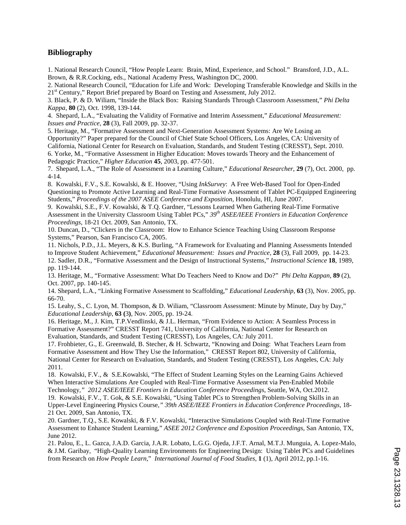#### **Bibliography**

1. National Research Council, "How People Learn: Brain, Mind, Experience, and School." Bransford, J.D., A.L. Brown, & R.R.Cocking, eds., National Academy Press, Washington DC, 2000.

2. National Research Council, "Education for Life and Work: Developing Transferable Knowledge and Skills in the 21<sup>st</sup> Century," Report Brief prepared by Board on Testing and Assessment, July 2012.

3. Black, P. & D. Wiliam, "Inside the Black Box: Raising Standards Through Classroom Assessment," *Phi Delta Kappa*, **80** (2), Oct. 1998, 139-144.

4. Shepard, L.A., "Evaluating the Validity of Formative and Interim Assessment," *Educational Measurement: Issues and Practice*, **28** (3), Fall 2009, pp. 32-37.

5. Heritage, M., "Formative Assessment and Next-Generation Assessment Systems: Are We Losing an Opportunity?" Paper prepared for the Council of Chief State School Officers, Los Angeles, CA: University of California, National Center for Research on Evaluation, Standards, and Student Testing (CRESST), Sept. 2010. 6. Yorke, M., "Formative Assessment in Higher Education: Moves towards Theory and the Enhancement of

Pedagogic Practice," *Higher Education* **45**, 2003, pp. 477-501.

7. Shepard, L.A., "The Role of Assessment in a Learning Culture," *Educational Researcher*, **29** (7), Oct. 2000, pp. 4-14.

8. Kowalski, F.V., S.E. Kowalski, & E. Hoover, "Using *InkSurvey*: A Free Web-Based Tool for Open-Ended Questioning to Promote Active Learning and Real-Time Formative Assessment of Tablet PC-Equipped Engineering Students," *Proceedings of the 2007 ASEE Conference and Exposition*, Honolulu, HI, June 2007.

9. Kowalski, S.E., F.V. Kowalski, & T.Q. Gardner, "Lessons Learned When Gathering Real-Time Formative Assessment in the University Classroom Using Tablet PCs," *39th ASEE/IEEE Frontiers in Education Conference Proceedings*, 18-21 Oct. 2009, San Antonio, TX.

10. Duncan, D., "Clickers in the Classroom: How to Enhance Science Teaching Using Classroom Response Systems," Pearson, San Francisco CA, 2005.

11. Nichols, P.D., J.L. Meyers, & K.S. Burling, "A Framework for Evaluating and Planning Assessments Intended to Improve Student Achievement," *Educational Measurement: Issues and Practice,* **28** (3), Fall 2009, pp. 14-23. 12. Sadler, D.R., "Formative Assessment and the Design of Instructional Systems," *Instructional Science* **18**, 1989, pp. 119-144.

13. Heritage, M., "Formative Assessment: What Do Teachers Need to Know and Do?" *Phi Delta Kappan*, **89** (2), Oct. 2007, pp. 140-145.

14. Shepard, L.A., "Linking Formative Assessment to Scaffolding," *Educational Leadership*, **63** (3), Nov. 2005, pp. 66-70.

15. Leahy, S., C. Lyon, M. Thompson, & D. Wiliam, "Classroom Assessment: Minute by Minute, Day by Day," *Educational Leadership*, **63 (**3**)**, Nov. 2005, pp. 19-24.

16. Heritage, M., J. Kim, T.P.Vendlinski, & J.L. Herman, "From Evidence to Action: A Seamless Process in Formative Assessment?" CRESST Report 741, University of California, National Center for Research on Evaluation, Standards, and Student Testing (CRESST), Los Angeles, CA: July 2011.

17. Frohbieter, G., E. Greenwald, B. Stecher, & H. Schwartz, "Knowing and Doing: What Teachers Learn from Formative Assessment and How They Use the Information," CRESST Report 802, University of California, National Center for Research on Evaluation, Standards, and Student Testing (CRESST), Los Angeles, CA: July 2011.

18. Kowalski, F.V., & S.E.Kowalski, "The Effect of Student Learning Styles on the Learning Gains Achieved When Interactive Simulations Are Coupled with Real-Time Formative Assessment via Pen-Enabled Mobile Technology*," 2012 ASEE/IEEE Frontiers in Education Conference Proceedings,* Seattle, WA, Oct.2012.

19. Kowalski, F.V., T. Gok, & S.E. Kowalski, "Using Tablet PCs to Strengthen Problem-Solving Skills in an Upper-Level Engineering Physics Course*," 39th ASEE/IEEE Frontiers in Education Conference Proceedings*, 18- 21 Oct. 2009, San Antonio, TX.

20. Gardner, T.Q., S.E. Kowalski, & F.V. Kowalski, "Interactive Simulations Coupled with Real-Time Formative Assessment to Enhance Student Learning," *ASEE 2012 Conference and Exposition Proceedings*, San Antonio, TX, June 2012.

21. Palou, E., L. Gazca, J.A.D. Garcia, J.A.R. Lobato, L.G.G. Ojeda, J.F.T. Arnal, M.T.J. Munguia, A. Lopez-Malo, & J.M. Garibay, "High-Quality Learning Environments for Engineering Design: Using Tablet PCs and Guidelines from Research on *How People Learn*," *International Journal of Food Studies*, **1** (1), April 2012, pp.1-16.